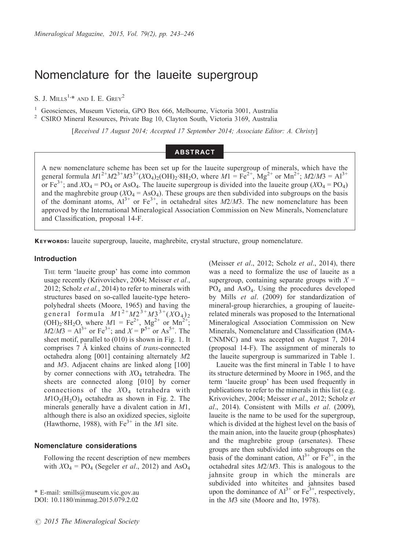# Nomenclature for the laueite supergroup

S. J. MILLS<sup>1,\*</sup> AND I. E.  $G$ REY<sup>2</sup>

<sup>1</sup> Geosciences, Museum Victoria, GPO Box 666, Melbourne, Victoria 3001, Australia <sup>2</sup> CSIRO Mineral Resources, Private Bag 10, Clayton South, Victoria 3169, Australia

[Received 17 August 2014; Accepted 17 September 2014; Associate Editor: A. Christy]

# **ABSTRACT**

A new nomenclature scheme has been set up for the laueite supergroup of minerals, which have the general formula  $M1^{2+}M2^{3+}M3^{3+}$ (XO<sub>4</sub>)<sub>2</sub>(OH)<sub>2</sub>·8H<sub>2</sub>O, where  $M1 = Fe^{2+}$ , Mg<sup>2+</sup> or Mn<sup>2+</sup>; *M2/M3* = Al<sup>3+</sup> or Fe<sup>3+</sup>; and  $XO_4 = PO_4$  or AsO<sub>4</sub>. The laueite supergroup is divided into the laueite group ( $XO_4 = PO_4$ ) and the maghrebite group  $(XO_4 = AsO_4)$ . These groups are then subdivided into subgroups on the basis of the dominant atoms,  $Al^{3+}$  or  $Fe^{3+}$ , in octahedral sites  $M2/M3$ . The new nomenclature has been approved by the International Mineralogical Association Commission on New Minerals, Nomenclature and Classification, proposal 14-F.

KEYWORDS: laueite supergroup, laueite, maghrebite, crystal structure, group nomenclature.

#### Introduction

THE term 'laueite group' has come into common usage recently (Krivovichev, 2004; Meisser et al., 2012; Scholz *et al.*, 2014) to refer to minerals with structures based on so-called laueite-type heteropolyhedral sheets (Moore, 1965) and having the general formula  $M1^{2+}M2^{3+}M3^{3+} (XO_4)_2$  $(OH)_2·8H_2O$ , where  $M1 = Fe^{2+}$ ,  $Mg^{2+}$  or  $Mn^{2+}$ ;  $M2/M3 = Al^{3+}$  or Fe<sup>3+</sup>; and  $X = P^{5+}$  or As<sup>5+</sup>. The sheet motif, parallel to (010) is shown in Fig. 1. It comprises 7 Å kinked chains of *trans*-connected octahedra along [001] containing alternately M2 and M3. Adjacent chains are linked along [100] by corner connections with  $XO<sub>4</sub>$  tetrahedra. The sheets are connected along [010] by corner connections of the  $XO<sub>4</sub>$  tetrahedra with  $M1O<sub>2</sub>(H<sub>2</sub>O)<sub>4</sub>$  octahedra as shown in Fig. 2. The minerals generally have a divalent cation in M1, although there is also an oxidized species, sigloite (Hawthorne, 1988), with  $Fe^{3+}$  in the *M*1 site.

### Nomenclature considerations

Following the recent description of new members with  $XO_4 = PO_4$  (Segeler *et al.*, 2012) and As $O_4$ 

\* E-mail: smills@museum.vic.gov.au DOI: 10.1180/minmag.2015.079.2.02

(Meisser et al., 2012; Scholz et al., 2014), there was a need to formalize the use of laueite as a supergroup, containing separate groups with  $X =$ PO4 and AsO4. Using the procedures developed by Mills et al. (2009) for standardization of mineral-group hierarchies, a grouping of laueiterelated minerals was proposed to the International Mineralogical Association Commission on New Minerals, Nomenclature and Classification (IMA-CNMNC) and was accepted on August 7, 2014 (proposal 14-F). The assignment of minerals to the laueite supergroup is summarized in Table 1.

Laueite was the first mineral in Table 1 to have its structure determined by Moore in 1965, and the term 'laueite group' has been used frequently in publications to refer to the minerals in this list (e.g. Krivovichev, 2004; Meisser et al., 2012; Scholz et  $al., 2014$ ). Consistent with Mills et al. (2009), laueite is the name to be used for the supergroup, which is divided at the highest level on the basis of the main anion, into the laueite group (phosphates) and the maghrebite group (arsenates). These groups are then subdivided into subgroups on the basis of the dominant cation,  $Al^{3+}$  or  $Fe^{3+}$ , in the octahedral sites M2/M3. This is analogous to the jahnsite group in which the minerals are subdivided into whiteites and jahnsites based upon the dominance of  $Al^{3+}$  or  $Fe^{3+}$ , respectively, in the M3 site (Moore and Ito, 1978).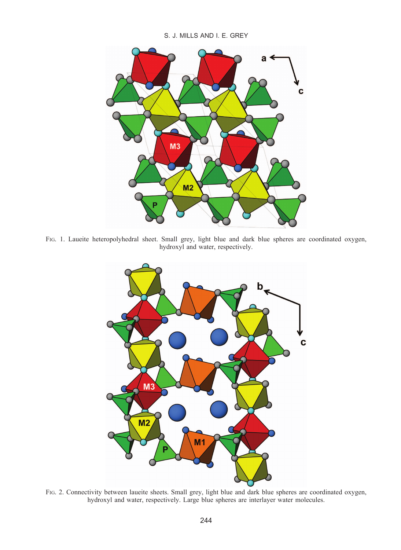S. J. MILLS AND I. E. GREY



FIG. 1. Laueite heteropolyhedral sheet. Small grey, light blue and dark blue spheres are coordinated oxygen, hydroxyl and water, respectively.



FIG. 2. Connectivity between laueite sheets. Small grey, light blue and dark blue spheres are coordinated oxygen, hydroxyl and water, respectively. Large blue spheres are interlayer water molecules.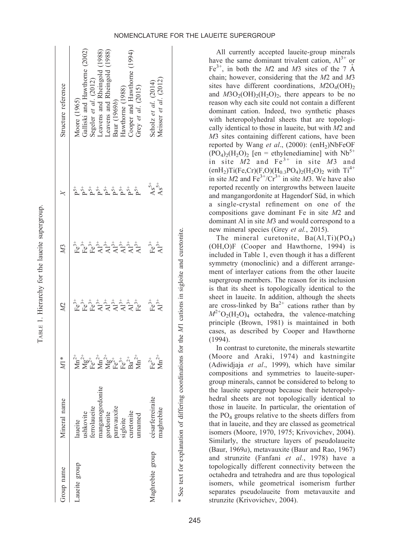| Group name    | Aineral name        | $M^*$              | 22                                                 | M3                                     |             | structure referenc                 |
|---------------|---------------------|--------------------|----------------------------------------------------|----------------------------------------|-------------|------------------------------------|
| Laueite group | ushkovite<br>aueite | $\sum_{i=1}^{N+1}$ | $\mathring{\mathbb{E}}^{\frac{4}{5}}_{\mathbb{E}}$ | $\mathbf{F} \mathbf{e}^{3+}_{\bullet}$ | _<br>բ<br>ÿ | Galliski and Hawtl<br>Moore (1965) |

ference

TABLE 1. Hierarchy for the laueite supergroup.

TABLE 1. Hierarchy for the laueite supergroup.

| Laueite group    | laueite                                                                                              |                               |                                                  |                                                                                                                                                                                                                                                                                                                                                                                                                                        |                        |                                                                                                                                        |
|------------------|------------------------------------------------------------------------------------------------------|-------------------------------|--------------------------------------------------|----------------------------------------------------------------------------------------------------------------------------------------------------------------------------------------------------------------------------------------------------------------------------------------------------------------------------------------------------------------------------------------------------------------------------------------|------------------------|----------------------------------------------------------------------------------------------------------------------------------------|
|                  | ushkovite                                                                                            |                               |                                                  |                                                                                                                                                                                                                                                                                                                                                                                                                                        | <u>፟</u> ፞፞ፚ፞ዄዄ፟ዄ፟ዄ፟ዄ፟ | Moore (1965)<br>Galliski and Hawthorne (2002)<br>Segeler et al. (2012)<br>Leavens and Rheingold (1988)<br>Leavens and Rheingold (1988) |
|                  | ferrolaueite                                                                                         |                               |                                                  |                                                                                                                                                                                                                                                                                                                                                                                                                                        |                        |                                                                                                                                        |
|                  | rdonite                                                                                              |                               |                                                  |                                                                                                                                                                                                                                                                                                                                                                                                                                        |                        |                                                                                                                                        |
|                  | manganogorr<br>gordonite                                                                             |                               |                                                  |                                                                                                                                                                                                                                                                                                                                                                                                                                        |                        |                                                                                                                                        |
|                  |                                                                                                      |                               |                                                  |                                                                                                                                                                                                                                                                                                                                                                                                                                        |                        |                                                                                                                                        |
|                  | paravauxite<br>sigloite                                                                              |                               |                                                  |                                                                                                                                                                                                                                                                                                                                                                                                                                        |                        | Baur (1969 <i>b</i> )<br>Hawthorne (1988)                                                                                              |
|                  | curetonite                                                                                           |                               |                                                  |                                                                                                                                                                                                                                                                                                                                                                                                                                        |                        |                                                                                                                                        |
|                  | mamed                                                                                                |                               | ្នុំ ៖ ៖ ៖ ៖ ៖ ៖ ៖ ៖ ៖<br>ដើម្បី ។ ។ ។ ។ ។ ។ ។ ។ | $\overset{+}{\text{F}}\overset{+}{\text{F}}\overset{+}{\text{F}}\overset{+}{\text{F}}\overset{+}{\text{F}}\overset{+}{\text{F}}\overset{+}{\text{F}}\overset{+}{\text{F}}\overset{+}{\text{F}}\overset{+}{\text{F}}\overset{+}{\text{F}}\overset{+}{\text{F}}\overset{+}{\text{F}}\overset{+}{\text{F}}\overset{+}{\text{F}}\overset{+}{\text{F}}\overset{+}{\text{F}}\overset{+}{\text{F}}\overset{+}{\text{F}}\overset{+}{\text{F}}$ |                        | Cooper and Hawthorne (1994)<br>Grey et al. (2015)                                                                                      |
|                  |                                                                                                      |                               |                                                  |                                                                                                                                                                                                                                                                                                                                                                                                                                        |                        |                                                                                                                                        |
| Maghrebite group | césarferreiraite                                                                                     |                               |                                                  |                                                                                                                                                                                                                                                                                                                                                                                                                                        |                        |                                                                                                                                        |
|                  | maghrebite                                                                                           | $Fe^{2+}$<br>Mn <sup>2+</sup> | $E_{\rm A}^{3+}$                                 | $E_{\mathbf{A}^{3+}}^{2+}$                                                                                                                                                                                                                                                                                                                                                                                                             | $\overset{S^+}{AS^+}$  | Scholz et al. (2014)<br>Meisser et al. (2012)                                                                                          |
|                  |                                                                                                      |                               |                                                  |                                                                                                                                                                                                                                                                                                                                                                                                                                        |                        |                                                                                                                                        |
|                  | * See text for explanation of differing coordinations for the M1 cations in sigloite and curetonite. |                               |                                                  |                                                                                                                                                                                                                                                                                                                                                                                                                                        |                        |                                                                                                                                        |
|                  |                                                                                                      |                               |                                                  |                                                                                                                                                                                                                                                                                                                                                                                                                                        |                        |                                                                                                                                        |

All currently accepted laueite-group minerals have the same dominant trivalent cation,  $Al^{3+}$  or  $Fe<sup>3+</sup>$ , in both the M2 and M3 sites of the 7  $\AA$ chain; however, considering that the M2 and M3 sites have different coordinations,  $M2O<sub>4</sub>(OH)_{2}$ and  $M3O<sub>2</sub>(OH)<sub>2</sub>(H<sub>2</sub>O)<sub>2</sub>$ , there appears to be no reason why each site could not contain a different dominant cation. Indeed, two synthetic phases with heteropolyhedral sheets that are topologically identical to those in laueite, but with M2 and M3 sites containing different cations, have been reported by Wang et al.,  $(2000)$ :  $(enH<sub>2</sub>)$ NbFeOF  $(PO_4)_2(H_2O)_2$  [en = ethylenediamine] with Nb<sup>5+</sup> in site  $M2$  and  $Fe<sup>3+</sup>$  in site  $M3$  and  $(\text{enH}_2)Ti(Fe, Cr)(F, O)(H_{0.3}PO_4)_2(H_2O)_2$  with  $Ti^{4+}$ in site  $M2$  and  $Fe^{3+}/Cr^{3+}$  in site  $M3$ . We have also reported recently on intergrowths between laueite and mangangordonite at Hagendorf Süd, in which a single-crystal refinement on one of the compositions gave dominant Fe in site M2 and dominant Al in site M3 and would correspond to a new mineral species (Grey et al., 2015).

The mineral curetonite,  $Ba(A1, Ti)(PO<sub>4</sub>)$ (OH,O)F (Cooper and Hawthorne, 1994) is included in Table 1, even though it has a different symmetry (monoclinic) and a different arrangement of interlayer cations from the other laueite supergroup members. The reason for its inclusion is that its sheet is topologically identical to the sheet in laueite. In addition, although the sheets are cross-linked by  $Ba^{2+}$  cations rather than by  $M^{2+}O_2(H_2O)_4$  octahedra, the valence-matching principle (Brown, 1981) is maintained in both cases, as described by Cooper and Hawthorne (1994).

In contrast to curetonite, the minerals stewartite (Moore and Araki, 1974) and kastningite (Adiwidjaja et al., 1999), which have similar compositions and symmetries to laueite-supergroup minerals, cannot be considered to belong to the laueite supergroup because their heteropolyhedral sheets are not topologically identical to those in laueite. In particular, the orientation of the  $PO<sub>4</sub>$  groups relative to the sheets differs from that in laueite, and they are classed as geometrical isomers (Moore, 1970, 1975; Krivovichev, 2004). Similarly, the structure layers of pseudolaueite (Baur, 1969a), metavauxite (Baur and Rao, 1967) and strunzite (Fanfani et al., 1978) have a topologically different connectivity between the octahedra and tetrahedra and are thus topological isomers, while geometrical isomerism further separates pseudolaueite from metavauxite and strunzite (Krivovichev, 2004).